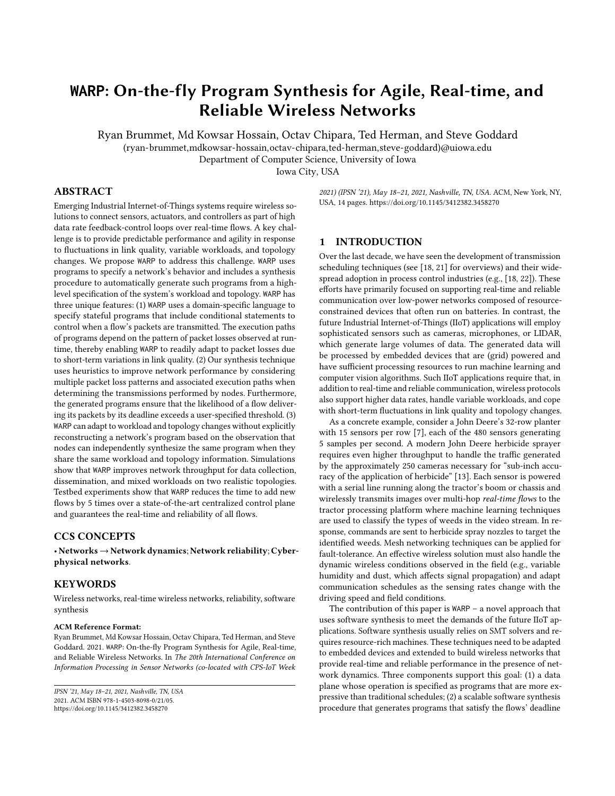# **WARP**: On-the-fly Program Synthesis for Agile, Real-time, and Reliable Wireless Networks

Ryan Brummet, Md Kowsar Hossain, Octav Chipara, Ted Herman, and Steve Goddard

(ryan-brummet,mdkowsar-hossain,octav-chipara,ted-herman,steve-goddard)@uiowa.edu

Department of Computer Science, University of Iowa

Iowa City, USA

## ABSTRACT

Emerging Industrial Internet-of-Things systems require wireless solutions to connect sensors, actuators, and controllers as part of high data rate feedback-control loops over real-time flows. A key challenge is to provide predictable performance and agility in response to fluctuations in link quality, variable workloads, and topology changes. We propose WARP to address this challenge. WARP uses programs to specify a network's behavior and includes a synthesis procedure to automatically generate such programs from a highlevel specification of the system's workload and topology. WARP has three unique features: (1) WARP uses a domain-specific language to specify stateful programs that include conditional statements to control when a flow's packets are transmitted. The execution paths of programs depend on the pattern of packet losses observed at runtime, thereby enabling WARP to readily adapt to packet losses due to short-term variations in link quality. (2) Our synthesis technique uses heuristics to improve network performance by considering multiple packet loss patterns and associated execution paths when determining the transmissions performed by nodes. Furthermore, the generated programs ensure that the likelihood of a flow delivering its packets by its deadline exceeds a user-specified threshold. (3) WARP can adapt to workload and topology changes without explicitly reconstructing a network's program based on the observation that nodes can independently synthesize the same program when they share the same workload and topology information. Simulations show that WARP improves network throughput for data collection, dissemination, and mixed workloads on two realistic topologies. Testbed experiments show that WARP reduces the time to add new flows by 5 times over a state-of-the-art centralized control plane and guarantees the real-time and reliability of all flows.

## CCS CONCEPTS

• Networks→Network dynamics; Network reliability; Cyberphysical networks.

#### **KEYWORDS**

Wireless networks, real-time wireless networks, reliability, software synthesis

#### ACM Reference Format:

Ryan Brummet, Md Kowsar Hossain, Octav Chipara, Ted Herman, and Steve Goddard. 2021. WARP: On-the-fly Program Synthesis for Agile, Real-time, and Reliable Wireless Networks. In The 20th International Conference on Information Processing in Sensor Networks (co-located with CPS-IoT Week

2021) (IPSN '21), May 18–21, 2021, Nashville, TN, USA. ACM, New York, NY, USA, [14](#page-13-0) pages.<https://doi.org/10.1145/3412382.3458270>

## 1 INTRODUCTION

Over the last decade, we have seen the development of transmission scheduling techniques (see [\[18,](#page-13-1) [21\]](#page-13-2) for overviews) and their widespread adoption in process control industries (e.g., [\[18,](#page-13-1) [22\]](#page-13-3)). These efforts have primarily focused on supporting real-time and reliable communication over low-power networks composed of resourceconstrained devices that often run on batteries. In contrast, the future Industrial Internet-of-Things (IIoT) applications will employ sophisticated sensors such as cameras, microphones, or LIDAR, which generate large volumes of data. The generated data will be processed by embedded devices that are (grid) powered and have sufficient processing resources to run machine learning and computer vision algorithms. Such IIoT applications require that, in addition to real-time and reliable communication, wireless protocols also support higher data rates, handle variable workloads, and cope with short-term fluctuations in link quality and topology changes.

As a concrete example, consider a John Deere's 32-row planter with 15 sensors per row [\[7\]](#page-12-0), each of the 480 sensors generating 5 samples per second. A modern John Deere herbicide sprayer requires even higher throughput to handle the traffic generated by the approximately 250 cameras necessary for "sub-inch accuracy of the application of herbicide" [\[13\]](#page-13-4). Each sensor is powered with a serial line running along the tractor's boom or chassis and wirelessly transmits images over multi-hop real-time flows to the tractor processing platform where machine learning techniques are used to classify the types of weeds in the video stream. In response, commands are sent to herbicide spray nozzles to target the identified weeds. Mesh networking techniques can be applied for fault-tolerance. An effective wireless solution must also handle the dynamic wireless conditions observed in the field (e.g., variable humidity and dust, which affects signal propagation) and adapt communication schedules as the sensing rates change with the driving speed and field conditions.

The contribution of this paper is WARP – a novel approach that uses software synthesis to meet the demands of the future IIoT applications. Software synthesis usually relies on SMT solvers and requires resource-rich machines. These techniques need to be adapted to embedded devices and extended to build wireless networks that provide real-time and reliable performance in the presence of network dynamics. Three components support this goal: (1) a data plane whose operation is specified as programs that are more expressive than traditional schedules; (2) a scalable software synthesis procedure that generates programs that satisfy the flows' deadline

IPSN '21, May 18–21, 2021, Nashville, TN, USA 2021. ACM ISBN 978-1-4503-8098-0/21/05. <https://doi.org/10.1145/3412382.3458270>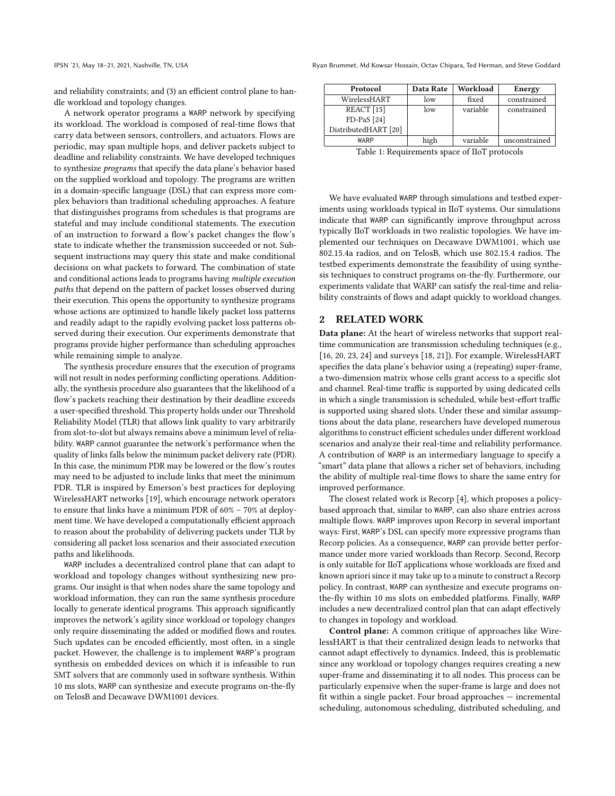and reliability constraints; and (3) an efficient control plane to handle workload and topology changes.

A network operator programs a WARP network by specifying its workload. The workload is composed of real-time flows that carry data between sensors, controllers, and actuators. Flows are periodic, may span multiple hops, and deliver packets subject to deadline and reliability constraints. We have developed techniques to synthesize programs that specify the data plane's behavior based on the supplied workload and topology. The programs are written in a domain-specific language (DSL) that can express more complex behaviors than traditional scheduling approaches. A feature that distinguishes programs from schedules is that programs are stateful and may include conditional statements. The execution of an instruction to forward a flow's packet changes the flow's state to indicate whether the transmission succeeded or not. Subsequent instructions may query this state and make conditional decisions on what packets to forward. The combination of state and conditional actions leads to programs having multiple execution paths that depend on the pattern of packet losses observed during their execution. This opens the opportunity to synthesize programs whose actions are optimized to handle likely packet loss patterns and readily adapt to the rapidly evolving packet loss patterns observed during their execution. Our experiments demonstrate that programs provide higher performance than scheduling approaches while remaining simple to analyze.

The synthesis procedure ensures that the execution of programs will not result in nodes performing conflicting operations. Additionally, the synthesis procedure also guarantees that the likelihood of a flow's packets reaching their destination by their deadline exceeds a user-specified threshold. This property holds under our Threshold Reliability Model (TLR) that allows link quality to vary arbitrarily from slot-to-slot but always remains above a minimum level of reliability. WARP cannot guarantee the network's performance when the quality of links falls below the minimum packet delivery rate (PDR). In this case, the minimum PDR may be lowered or the flow's routes may need to be adjusted to include links that meet the minimum PDR. TLR is inspired by Emerson's best practices for deploying WirelessHART networks [\[19\]](#page-13-5), which encourage network operators to ensure that links have a minimum PDR of 60% – 70% at deployment time. We have developed a computationally efficient approach to reason about the probability of delivering packets under TLR by considering all packet loss scenarios and their associated execution paths and likelihoods.

WARP includes a decentralized control plane that can adapt to workload and topology changes without synthesizing new programs. Our insight is that when nodes share the same topology and workload information, they can run the same synthesis procedure locally to generate identical programs. This approach significantly improves the network's agility since workload or topology changes only require disseminating the added or modified flows and routes. Such updates can be encoded efficiently, most often, in a single packet. However, the challenge is to implement WARP's program synthesis on embedded devices on which it is infeasible to run SMT solvers that are commonly used in software synthesis. Within 10 ms slots, WARP can synthesize and execute programs on-the-fly on TelosB and Decawave DWM1001 devices.

IPSN '21, May 18–21, 2021, Nashville, TN, USA Ryan Brummet, Md Kowsar Hossain, Octav Chipara, Ted Herman, and Steve Goddard

<span id="page-1-0"></span>

| Protocol              | Data Rate | Workload | Energy        |
|-----------------------|-----------|----------|---------------|
| WirelessHART          | low       | fixed    | constrained   |
| REACT <sup>[15]</sup> | low       | variable | constrained   |
| $FD-PaS [24]$         |           |          |               |
| DistributedHART [20]  |           |          |               |
| WARP                  | high      | variable | unconstrained |

Table 1: Requirements space of IIoT protocols

We have evaluated WARP through simulations and testbed experiments using workloads typical in IIoT systems. Our simulations indicate that WARP can significantly improve throughput across typically IIoT workloads in two realistic topologies. We have implemented our techniques on Decawave DWM1001, which use 802.15.4a radios, and on TelosB, which use 802.15.4 radios. The testbed experiments demonstrate the feasibility of using synthesis techniques to construct programs on-the-fly. Furthermore, our experiments validate that WARP can satisfy the real-time and reliability constraints of flows and adapt quickly to workload changes.

#### 2 RELATED WORK

Data plane: At the heart of wireless networks that support realtime communication are transmission scheduling techniques (e.g., [\[16,](#page-13-9) [20,](#page-13-8) [23,](#page-13-10) [24\]](#page-13-7) and surveys [\[18,](#page-13-1) [21\]](#page-13-2)). For example, WirelessHART specifies the data plane's behavior using a (repeating) super-frame, a two-dimension matrix whose cells grant access to a specific slot and channel. Real-time traffic is supported by using dedicated cells in which a single transmission is scheduled, while best-effort traffic is supported using shared slots. Under these and similar assumptions about the data plane, researchers have developed numerous algorithms to construct efficient schedules under different workload scenarios and analyze their real-time and reliability performance. A contribution of WARP is an intermediary language to specify a "smart" data plane that allows a richer set of behaviors, including the ability of multiple real-time flows to share the same entry for improved performance.

The closest related work is Recorp [\[4\]](#page-12-1), which proposes a policybased approach that, similar to WARP, can also share entries across multiple flows. WARP improves upon Recorp in several important ways: First, WARP's DSL can specify more expressive programs than Recorp policies. As a consequence, WARP can provide better performance under more varied workloads than Recorp. Second, Recorp is only suitable for IIoT applications whose workloads are fixed and known apriori since it may take up to a minute to construct a Recorp policy. In contrast, WARP can synthesize and execute programs onthe-fly within 10 ms slots on embedded platforms. Finally, WARP includes a new decentralized control plan that can adapt effectively to changes in topology and workload.

Control plane: A common critique of approaches like WirelessHART is that their centralized design leads to networks that cannot adapt effectively to dynamics. Indeed, this is problematic since any workload or topology changes requires creating a new super-frame and disseminating it to all nodes. This process can be particularly expensive when the super-frame is large and does not fit within a single packet. Four broad approaches — incremental scheduling, autonomous scheduling, distributed scheduling, and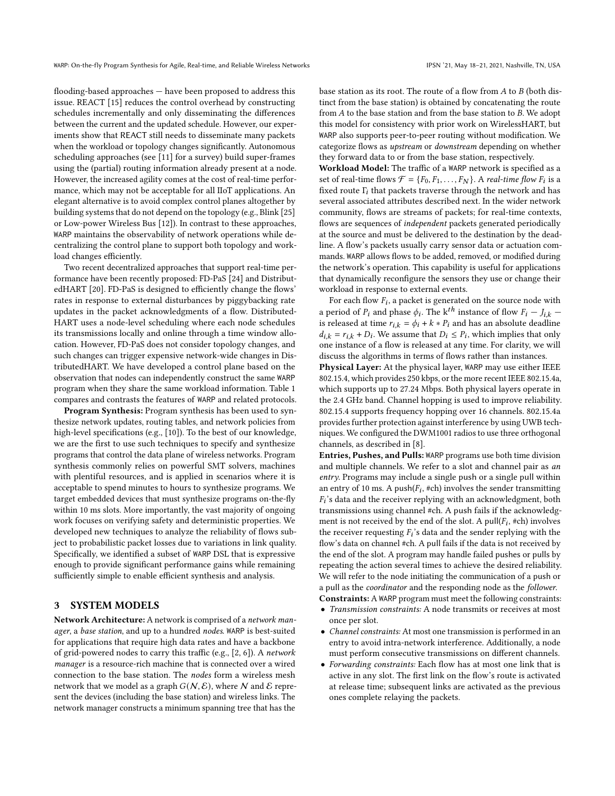flooding-based approaches — have been proposed to address this issue. REACT [\[15\]](#page-13-6) reduces the control overhead by constructing schedules incrementally and only disseminating the differences between the current and the updated schedule. However, our experiments show that REACT still needs to disseminate many packets when the workload or topology changes significantly. Autonomous scheduling approaches (see [\[11\]](#page-13-11) for a survey) build super-frames using the (partial) routing information already present at a node. However, the increased agility comes at the cost of real-time performance, which may not be acceptable for all IIoT applications. An elegant alternative is to avoid complex control planes altogether by building systems that do not depend on the topology (e.g., Blink [\[25\]](#page-13-12) or Low-power Wireless Bus [\[12\]](#page-13-13)). In contrast to these approaches, WARP maintains the observability of network operations while decentralizing the control plane to support both topology and workload changes efficiently.

Two recent decentralized approaches that support real-time performance have been recently proposed: FD-PaS [\[24\]](#page-13-7) and DistributedHART [\[20\]](#page-13-8). FD-PaS is designed to efficiently change the flows' rates in response to external disturbances by piggybacking rate updates in the packet acknowledgments of a flow. Distributed-HART uses a node-level scheduling where each node schedules its transmissions locally and online through a time window allocation. However, FD-PaS does not consider topology changes, and such changes can trigger expensive network-wide changes in DistributedHART. We have developed a control plane based on the observation that nodes can independently construct the same WARP program when they share the same workload information. Table [1](#page-1-0) compares and contrasts the features of WARP and related protocols.

Program Synthesis: Program synthesis has been used to synthesize network updates, routing tables, and network policies from high-level specifications (e.g., [\[10\]](#page-12-2)). To the best of our knowledge, we are the first to use such techniques to specify and synthesize programs that control the data plane of wireless networks. Program synthesis commonly relies on powerful SMT solvers, machines with plentiful resources, and is applied in scenarios where it is acceptable to spend minutes to hours to synthesize programs. We target embedded devices that must synthesize programs on-the-fly within 10 ms slots. More importantly, the vast majority of ongoing work focuses on verifying safety and deterministic properties. We developed new techniques to analyze the reliability of flows subject to probabilistic packet losses due to variations in link quality. Specifically, we identified a subset of WARP DSL that is expressive enough to provide significant performance gains while remaining sufficiently simple to enable efficient synthesis and analysis.

## <span id="page-2-0"></span>3 SYSTEM MODELS

Network Architecture: A network is comprised of a network manager, a base station, and up to a hundred nodes. WARP is best-suited for applications that require high data rates and have a backbone of grid-powered nodes to carry this traffic (e.g., [\[2,](#page-12-3) [6\]](#page-12-4)). A network manager is a resource-rich machine that is connected over a wired connection to the base station. The nodes form a wireless mesh network that we model as a graph  $G(N, \mathcal{E})$ , where N and E represent the devices (including the base station) and wireless links. The network manager constructs a minimum spanning tree that has the

base station as its root. The route of a flow from  $A$  to  $B$  (both distinct from the base station) is obtained by concatenating the route from  $A$  to the base station and from the base station to  $B$ . We adopt this model for consistency with prior work on WirelessHART, but WARP also supports peer-to-peer routing without modification. We categorize flows as upstream or downstream depending on whether they forward data to or from the base station, respectively.

Workload Model: The traffic of a WARP network is specified as a set of real-time flows  $\mathcal{F} = \{F_0, F_1, \ldots, F_N\}$ . A *real-time flow*  $F_i$  is a fixed route  $\Gamma_i$  that packets traverse through the network and has several associated attributes described next. In the wider network community, flows are streams of packets; for real-time contexts, flows are sequences of independent packets generated periodically at the source and must be delivered to the destination by the deadline. A flow's packets usually carry sensor data or actuation commands. WARP allows flows to be added, removed, or modified during the network's operation. This capability is useful for applications that dynamically reconfigure the sensors they use or change their workload in response to external events.

For each flow  $F_i$ , a packet is generated on the source node with a period of  $P_i$  and phase  $\phi_i$ . The k<sup>th</sup> instance of flow  $F_i - J_{i,k}$ is released at time  $r_{i,k} = \phi_i + k * P_i$  and has an absolute deadline  $d_{i,k} = r_{i,k} + D_i$ . We assume that  $D_i \leq P_i$ , which implies that only one instance of a flow is released at any time. For clarity, we will discuss the algorithms in terms of flows rather than instances.

Physical Layer: At the physical layer, WARP may use either IEEE 802.15.4, which provides 250 kbps, or the more recent IEEE 802.15.4a, which supports up to 27.24 Mbps. Both physical layers operate in the 2.4 GHz band. Channel hopping is used to improve reliability. 802.15.4 supports frequency hopping over 16 channels. 802.15.4a provides further protection against interference by using UWB techniques. We configured the DWM1001 radios to use three orthogonal channels, as described in [\[8\]](#page-12-5).

Entries, Pushes, and Pulls: WARP programs use both time division and multiple channels. We refer to a slot and channel pair as an entry. Programs may include a single push or a single pull within an entry of 10 ms. A push( $F_i$ , #ch) involves the sender transmitting  $F_i$ 's data and the receiver replying with an acknowledgment, both transmissions using channel #ch. A push fails if the acknowledgment is not received by the end of the slot. A pull( $F_i$ , #ch) involves the receiver requesting  $F_i$ 's data and the sender replying with the flow's data on channel #ch. A pull fails if the data is not received by the end of the slot. A program may handle failed pushes or pulls by repeating the action several times to achieve the desired reliability. We will refer to the node initiating the communication of a push or a pull as the coordinator and the responding node as the follower. Constraints: A WARP program must meet the following constraints:

• Transmission constraints: A node transmits or receives at most once per slot.

- Channel constraints: At most one transmission is performed in an entry to avoid intra-network interference. Additionally, a node must perform consecutive transmissions on different channels.
- Forwarding constraints: Each flow has at most one link that is active in any slot. The first link on the flow's route is activated at release time; subsequent links are activated as the previous ones complete relaying the packets.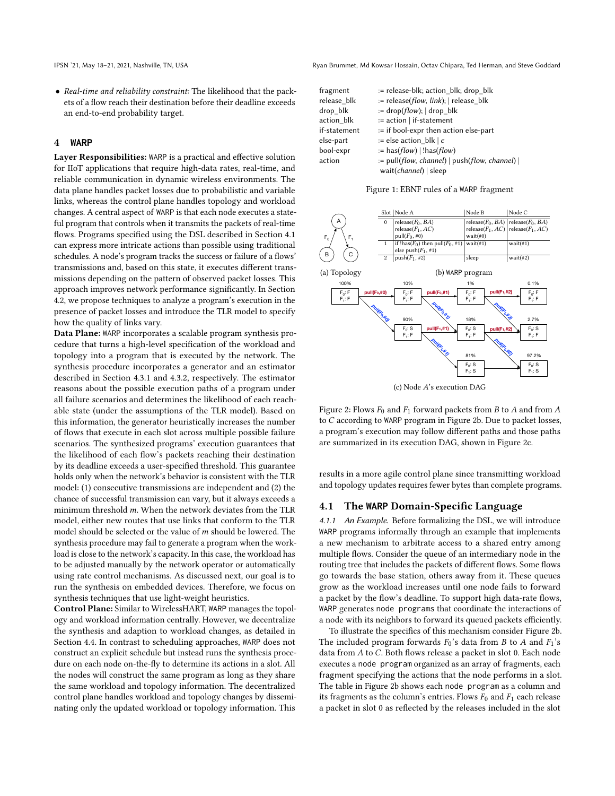• Real-time and reliability constraint: The likelihood that the packets of a flow reach their destination before their deadline exceeds an end-to-end probability target.

#### 4 **WARP**

Layer Responsibilities: WARP is a practical and effective solution for IIoT applications that require high-data rates, real-time, and reliable communication in dynamic wireless environments. The data plane handles packet losses due to probabilistic and variable links, whereas the control plane handles topology and workload changes. A central aspect of WARP is that each node executes a stateful program that controls when it transmits the packets of real-time flows. Programs specified using the DSL described in Section [4.1](#page-3-0) can express more intricate actions than possible using traditional schedules. A node's program tracks the success or failure of a flows' transmissions and, based on this state, it executes different transmissions depending on the pattern of observed packet losses. This approach improves network performance significantly. In Section [4.2,](#page-5-0) we propose techniques to analyze a program's execution in the presence of packet losses and introduce the TLR model to specify how the quality of links vary.

Data Plane: WARP incorporates a scalable program synthesis procedure that turns a high-level specification of the workload and topology into a program that is executed by the network. The synthesis procedure incorporates a generator and an estimator described in Section [4.3.1](#page-6-0) and [4.3.2,](#page-7-0) respectively. The estimator reasons about the possible execution paths of a program under all failure scenarios and determines the likelihood of each reachable state (under the assumptions of the TLR model). Based on this information, the generator heuristically increases the number of flows that execute in each slot across multiple possible failure scenarios. The synthesized programs' execution guarantees that the likelihood of each flow's packets reaching their destination by its deadline exceeds a user-specified threshold. This guarantee holds only when the network's behavior is consistent with the TLR model: (1) consecutive transmissions are independent and (2) the chance of successful transmission can vary, but it always exceeds a minimum threshold  $m$ . When the network deviates from the TLR model, either new routes that use links that conform to the TLR model should be selected or the value of  $m$  should be lowered. The synthesis procedure may fail to generate a program when the workload is close to the network's capacity. In this case, the workload has to be adjusted manually by the network operator or automatically using rate control mechanisms. As discussed next, our goal is to run the synthesis on embedded devices. Therefore, we focus on synthesis techniques that use light-weight heuristics.

Control Plane: Similar to WirelessHART, WARP manages the topology and workload information centrally. However, we decentralize the synthesis and adaption to workload changes, as detailed in Section [4.4.](#page-8-0) In contrast to scheduling approaches, WARP does not construct an explicit schedule but instead runs the synthesis procedure on each node on-the-fly to determine its actions in a slot. All the nodes will construct the same program as long as they share the same workload and topology information. The decentralized control plane handles workload and topology changes by disseminating only the updated workload or topology information. This

IPSN '21, May 18–21, 2021, Nashville, TN, USA Ryan Brummet, Md Kowsar Hossain, Octav Chipara, Ted Herman, and Steve Goddard

<span id="page-3-2"></span>

| := release-blk; action blk; drop blk                     |
|----------------------------------------------------------|
| $:=$ release( <i>flow</i> , <i>link</i> );   release blk |
| $:=$ drop( <i>flow</i> );   drop blk                     |
| := action   if-statement                                 |
| := if bool-expr then action else-part                    |
| := else action blk $\epsilon$                            |
| $:=$ has( $flow$ )   !has( $flow$ )                      |
| $:=$ pull(flow, channel)   push(flow, channel)           |
| wait( <i>channel</i> )   sleep                           |
|                                                          |

Figure 1: EBNF rules of a WARP fragment

<span id="page-3-1"></span>

(c) Node A's execution DAG

Figure 2: Flows  $F_0$  and  $F_1$  forward packets from B to A and from A to  $C$  according to WARP program in Figure [2b.](#page-3-1) Due to packet losses, a program's execution may follow different paths and those paths are summarized in its execution DAG, shown in Figure [2c.](#page-3-1)

results in a more agile control plane since transmitting workload and topology updates requires fewer bytes than complete programs.

#### <span id="page-3-0"></span>4.1 The **WARP** Domain-Specific Language

4.1.1 An Example. Before formalizing the DSL, we will introduce WARP programs informally through an example that implements a new mechanism to arbitrate access to a shared entry among multiple flows. Consider the queue of an intermediary node in the routing tree that includes the packets of different flows. Some flows go towards the base station, others away from it. These queues grow as the workload increases until one node fails to forward a packet by the flow's deadline. To support high data-rate flows, WARP generates node programs that coordinate the interactions of a node with its neighbors to forward its queued packets efficiently.

To illustrate the specifics of this mechanism consider Figure [2b.](#page-3-1) The included program forwards  $F_0$ 's data from *B* to *A* and  $F_1$ 's data from  $A$  to  $C$ . Both flows release a packet in slot 0. Each node executes a node program organized as an array of fragments, each fragment specifying the actions that the node performs in a slot. The table in Figure [2b](#page-3-1) shows each node program as a column and its fragments as the column's entries. Flows  $F_0$  and  $F_1$  each release a packet in slot 0 as reflected by the releases included in the slot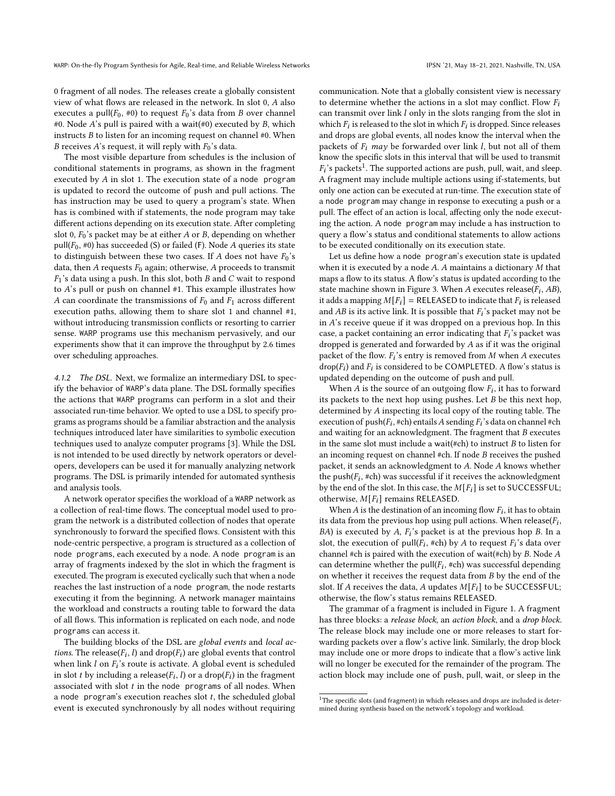0 fragment of all nodes. The releases create a globally consistent view of what flows are released in the network. In slot 0, A also executes a pull( $F_0$ , #0) to request  $F_0$ 's data from *B* over channel #0. Node A's pull is paired with a wait(#0) executed by B, which instructs  $B$  to listen for an incoming request on channel  $#0$ . When B receives A's request, it will reply with  $F_0$ 's data.

The most visible departure from schedules is the inclusion of conditional statements in programs, as shown in the fragment executed by  $A$  in slot 1. The execution state of a node program is updated to record the outcome of push and pull actions. The has instruction may be used to query a program's state. When has is combined with if statements, the node program may take different actions depending on its execution state. After completing slot 0,  $F_0$ 's packet may be at either  $A$  or  $B$ , depending on whether pull( $F_0$ , #0) has succeeded (S) or failed (F). Node A queries its state to distinguish between these two cases. If A does not have  $F_0$ 's data, then A requests  $F_0$  again; otherwise, A proceeds to transmit  $F_1$ 's data using a push. In this slot, both  $B$  and  $C$  wait to respond to  $A$ 's pull or push on channel #1. This example illustrates how A can coordinate the transmissions of  $F_0$  and  $F_1$  across different execution paths, allowing them to share slot 1 and channel #1, without introducing transmission conflicts or resorting to carrier sense. WARP programs use this mechanism pervasively, and our experiments show that it can improve the throughput by 2.6 times over scheduling approaches.

4.1.2 The DSL. Next, we formalize an intermediary DSL to specify the behavior of WARP's data plane. The DSL formally specifies the actions that WARP programs can perform in a slot and their associated run-time behavior. We opted to use a DSL to specify programs as programs should be a familiar abstraction and the analysis techniques introduced later have similarities to symbolic execution techniques used to analyze computer programs [\[3\]](#page-12-6). While the DSL is not intended to be used directly by network operators or developers, developers can be used it for manually analyzing network programs. The DSL is primarily intended for automated synthesis and analysis tools.

A network operator specifies the workload of a WARP network as a collection of real-time flows. The conceptual model used to program the network is a distributed collection of nodes that operate synchronously to forward the specified flows. Consistent with this node-centric perspective, a program is structured as a collection of node programs, each executed by a node. A node program is an array of fragments indexed by the slot in which the fragment is executed. The program is executed cyclically such that when a node reaches the last instruction of a node program, the node restarts executing it from the beginning. A network manager maintains the workload and constructs a routing table to forward the data of all flows. This information is replicated on each node, and node programs can access it.

The building blocks of the DSL are global events and local actions. The release( $F_i$ , l) and drop( $F_i$ ) are global events that control when link  $l$  on  $F_i$ 's route is activate. A global event is scheduled in slot *t* by including a release( $F_i$ , *l*) or a drop( $F_i$ ) in the fragment associated with slot  $t$  in the node programs of all nodes. When a node program's execution reaches slot  $t$ , the scheduled global event is executed synchronously by all nodes without requiring

communication. Note that a globally consistent view is necessary to determine whether the actions in a slot may conflict. Flow  $F_i$ can transmit over link  $l$  only in the slots ranging from the slot in which  $F_i$  is released to the slot in which  $F_i$  is dropped. Since releases and drops are global events, all nodes know the interval when the packets of  $F_i$  may be forwarded over link l, but not all of them know the specific slots in this interval that will be used to transmit  $F_i$ 's packets<sup>[1](#page-4-0)</sup>. The supported actions are push, pull, wait, and sleep. A fragment may include multiple actions using if-statements, but only one action can be executed at run-time. The execution state of a node program may change in response to executing a push or a pull. The effect of an action is local, affecting only the node executing the action. A node program may include a has instruction to query a flow's status and conditional statements to allow actions to be executed conditionally on its execution state.

Let us define how a node program's execution state is updated when it is executed by a node  $A$ .  $A$  maintains a dictionary  $M$  that maps a flow to its status. A flow's status is updated according to the state machine shown in Figure [3.](#page-5-1) When A executes release( $F_i$ , AB), it adds a mapping  $M[F_i] = \text{RELEASED}$  to indicate that  $F_i$  is released and AB is its active link. It is possible that  $F_i$ 's packet may not be in  $A$ 's receive queue if it was dropped on a previous hop. In this case, a packet containing an error indicating that  $F_i$ 's packet was dropped is generated and forwarded by  $A$  as if it was the original packet of the flow.  $F_i$ 's entry is removed from  $M$  when  $A$  executes drop( $F_i$ ) and  $F_i$  is considered to be COMPLETED. A flow's status is updated depending on the outcome of push and pull.

When  $\overline{A}$  is the source of an outgoing flow  $F_i$ , it has to forward its packets to the next hop using pushes. Let  $B$  be this next hop, determined by  $A$  inspecting its local copy of the routing table. The execution of push( $F_i$ , #ch) entails A sending  $F_i$ 's data on channel #ch and waiting for an acknowledgment. The fragment that  $B$  executes in the same slot must include a wait(#ch) to instruct  $B$  to listen for an incoming request on channel  $#ch$ . If node  $B$  receives the pushed packet, it sends an acknowledgment to  $A$ . Node  $A$  knows whether the push( $F_i$ , #ch) was successful if it receives the acknowledgment by the end of the slot. In this case, the  $M[F_i]$  is set to SUCCESSFUL; otherwise,  $M[F_i]$  remains RELEASED.

When A is the destination of an incoming flow  $F_i$ , it has to obtain its data from the previous hop using pull actions. When release( $F_i$ ,  $BA$ ) is executed by A,  $F_i$ 's packet is at the previous hop B. In a slot, the execution of  $pull(F_i, \#ch)$  by A to request  $F_i$ 's data over channel #ch is paired with the execution of wait(#ch) by  $B$ . Node  $A$ can determine whether the pull( $F_i$ , #ch) was successful depending on whether it receives the request data from  $B$  by the end of the slot. If A receives the data, A updates  $M[F_i]$  to be SUCCESSFUL; otherwise, the flow's status remains RELEASED.

The grammar of a fragment is included in Figure [1.](#page-3-2) A fragment has three blocks: a release block, an action block, and a drop block. The release block may include one or more releases to start forwarding packets over a flow's active link. Similarly, the drop block may include one or more drops to indicate that a flow's active link will no longer be executed for the remainder of the program. The action block may include one of push, pull, wait, or sleep in the

<span id="page-4-0"></span> $1$ The specific slots (and fragment) in which releases and drops are included is determined during synthesis based on the network's topology and workload.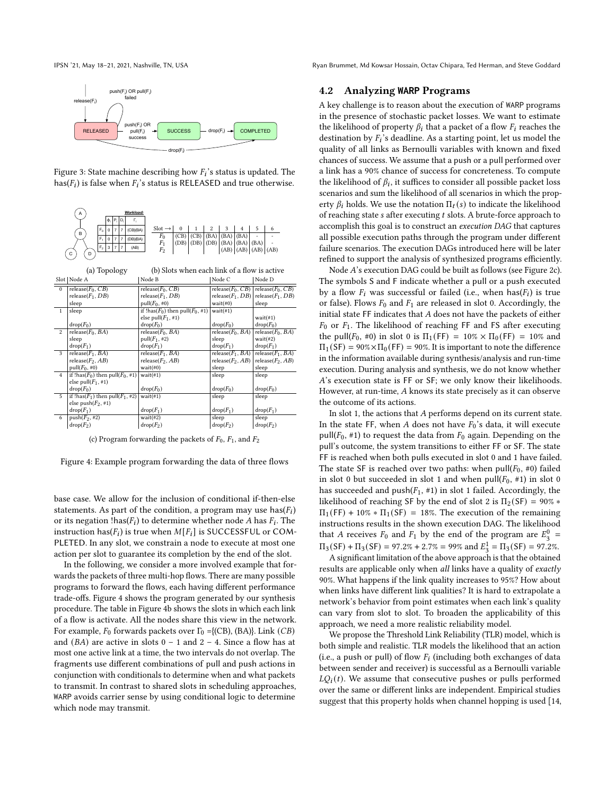<span id="page-5-1"></span>



<span id="page-5-2"></span>

(c) Program forwarding the packets of  $F_0$ ,  $F_1$ , and  $F_2$ 

Figure 4: Example program forwarding the data of three flows

base case. We allow for the inclusion of conditional if-then-else statements. As part of the condition, a program may use  $\text{has}(F_i)$ or its negation !has( $F_i$ ) to determine whether node  $A$  has  $F_i$ . The instruction has( $F_i$ ) is true when  $M[F_i]$  is SUCCESSFUL or COM-PLETED. In any slot, we constrain a node to execute at most one action per slot to guarantee its completion by the end of the slot.

In the following, we consider a more involved example that forwards the packets of three multi-hop flows. There are many possible programs to forward the flows, each having different performance trade-offs. Figure [4](#page-5-2) shows the program generated by our synthesis procedure. The table in Figure [4b](#page-5-2) shows the slots in which each link of a flow is activate. All the nodes share this view in the network. For example,  $F_0$  forwards packets over  $\Gamma_0 = \{ (CB), (BA) \}$ . Link  $(CB)$ and  $(BA)$  are active in slots  $0 - 1$  and  $2 - 4$ . Since a flow has at most one active link at a time, the two intervals do not overlap. The fragments use different combinations of pull and push actions in conjunction with conditionals to determine when and what packets to transmit. In contrast to shared slots in scheduling approaches, WARP avoids carrier sense by using conditional logic to determine which node may transmit.

IPSN '21, May 18–21, 2021, Nashville, TN, USA Ryan Brummet, Md Kowsar Hossain, Octav Chipara, Ted Herman, and Steve Goddard

#### <span id="page-5-0"></span>4.2 Analyzing **WARP** Programs

A key challenge is to reason about the execution of WARP programs in the presence of stochastic packet losses. We want to estimate the likelihood of property  $\beta_i$  that a packet of a flow  $F_i$  reaches the destination by  $\overrightarrow{F_i}$ 's deadline. As a starting point, let us model the quality of all links as Bernoulli variables with known and fixed chances of success. We assume that a push or a pull performed over a link has a 90% chance of success for concreteness. To compute the likelihood of  $\beta_i$ , it suffices to consider all possible packet loss scenarios and sum the likelihood of all scenarios in which the property  $\beta_i$  holds. We use the notation  $\Pi_t(s)$  to indicate the likelihood of reaching state  $s$  after executing  $t$  slots. A brute-force approach to accomplish this goal is to construct an execution DAG that captures all possible execution paths through the program under different failure scenarios. The execution DAGs introduced here will be later refined to support the analysis of synthesized programs efficiently.

Node  $A$ 's execution DAG could be built as follows (see Figure [2c\)](#page-3-1). The symbols S and F indicate whether a pull or a push executed by a flow  $F_i$  was successful or failed (i.e., when has( $F_i$ ) is true or false). Flows  $F_0$  and  $F_1$  are released in slot 0. Accordingly, the initial state FF indicates that  $A$  does not have the packets of either  $F_0$  or  $F_1$ . The likelihood of reaching FF and FS after executing the pull( $F_0$ , #0) in slot 0 is  $\Pi_1$ (FF) = 10% ×  $\Pi_0$ (FF) = 10% and  $\Pi_1$ (SF) = 90%× $\Pi_0$ (FF) = 90%. It is important to note the difference in the information available during synthesis/analysis and run-time execution. During analysis and synthesis, we do not know whether 's execution state is FF or SF; we only know their likelihoods. However, at run-time,  $A$  knows its state precisely as it can observe the outcome of its actions.

In slot 1, the actions that  $A$  performs depend on its current state. In the state FF, when  $A$  does not have  $F_0$ 's data, it will execute pull( $F_0$ , #1) to request the data from  $F_0$  again. Depending on the pull's outcome, the system transitions to either FF or SF. The state FF is reached when both pulls executed in slot 0 and 1 have failed. The state SF is reached over two paths: when  $pull(F_0, #0)$  failed in slot 0 but succeeded in slot 1 and when pull( $F_0$ , #1) in slot 0 has succeeded and  $push(F_1, #1)$  in slot 1 failed. Accordingly, the likelihood of reaching SF by the end of slot 2 is  $\Pi_2(SF) = 90\%$  \*  $\Pi_1$ (FF) + 10% \*  $\Pi_1$ (SF) = 18%. The execution of the remaining instructions results in the shown execution DAG. The likelihood that A receives  $F_0$  and  $F_1$  by the end of the program are  $E_3^0$  =  $\Pi_3(SF) + \Pi_3(SF) = 97.2\% + 2.7\% = 99\%$  and  $E_3^1 = \Pi_3(SF) = 97.2\%$ .

A significant limitation of the above approach is that the obtained results are applicable only when all links have a quality of exactly 90%. What happens if the link quality increases to 95%? How about when links have different link qualities? It is hard to extrapolate a network's behavior from point estimates when each link's quality can vary from slot to slot. To broaden the applicability of this approach, we need a more realistic reliability model.

We propose the Threshold Link Reliability (TLR) model, which is both simple and realistic. TLR models the likelihood that an action (i.e., a push or pull) of flow  $F_i$  (including both exchanges of data between sender and receiver) is successful as a Bernoulli variable  $LQ_i(t)$ . We assume that consecutive pushes or pulls performed over the same or different links are independent. Empirical studies suggest that this property holds when channel hopping is used [\[14,](#page-13-14)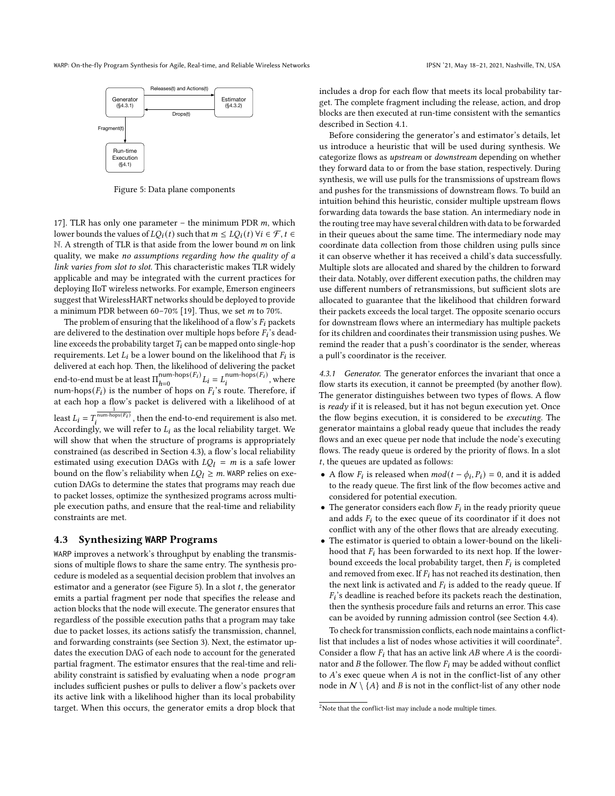<span id="page-6-2"></span>WARP: On-the-fly Program Synthesis for Agile, Real-time, and Reliable Wireless Networks IPSN '21, May 18-21, 2021, Nashville, TN, USA



Figure 5: Data plane components

[17\]](#page-13-15). TLR has only one parameter – the minimum PDR  $m$ , which lower bounds the values of  $LQ_i(t)$  such that  $m \leq LQ_i(t)$   $\forall i \in \mathcal{F}, t \in$  $N.$  A strength of TLR is that aside from the lower bound  $m$  on link quality, we make no assumptions regarding how the quality of a link varies from slot to slot. This characteristic makes TLR widely applicable and may be integrated with the current practices for deploying IIoT wireless networks. For example, Emerson engineers suggest that WirelessHART networks should be deployed to provide a minimum PDR between  $60-70\%$  [\[19\]](#page-13-5). Thus, we set *m* to 70%.

The problem of ensuring that the likelihood of a flow's  $F_i$  packets are delivered to the destination over multiple hops before  $F_i$ 's deadline exceeds the probability target  $T_i$  can be mapped onto single-hop requirements. Let  $L_i$  be a lower bound on the likelihood that  $F_i$  is delivered at each hop. Then, the likelihood of delivering the packet end-to-end must be at least  $\Pi_{h=0}^{num-hops(F_i)}$ num-hops( $F_i$ )  $L_i = L_i^{\text{num-hops}(F_i)}$ , where num-hops( $F_i$ ) is the number of hops on  $F_i$ 's route. Therefore, if at each hop a flow's packet is delivered with a likelihood of at least  $L_i = T_i^{\frac{1}{\text{num-hops}(F_i)}}$ , then the end-to-end requirement is also met. Accordingly, we will refer to  $L_i$  as the local reliability target. We will show that when the structure of programs is appropriately constrained (as described in Section [4.3\)](#page-6-1), a flow's local reliability estimated using execution DAGs with  $LQ_l = m$  is a safe lower bound on the flow's reliability when  $LQ_l \ge m$ . WARP relies on execution DAGs to determine the states that programs may reach due to packet losses, optimize the synthesized programs across multiple execution paths, and ensure that the real-time and reliability constraints are met.

## <span id="page-6-1"></span>4.3 Synthesizing **WARP** Programs

WARP improves a network's throughput by enabling the transmissions of multiple flows to share the same entry. The synthesis procedure is modeled as a sequential decision problem that involves an estimator and a generator (see Figure [5\)](#page-6-2). In a slot  $t$ , the generator emits a partial fragment per node that specifies the release and action blocks that the node will execute. The generator ensures that regardless of the possible execution paths that a program may take due to packet losses, its actions satisfy the transmission, channel, and forwarding constraints (see Section [3\)](#page-2-0). Next, the estimator updates the execution DAG of each node to account for the generated partial fragment. The estimator ensures that the real-time and reliability constraint is satisfied by evaluating when a node program includes sufficient pushes or pulls to deliver a flow's packets over its active link with a likelihood higher than its local probability target. When this occurs, the generator emits a drop block that

includes a drop for each flow that meets its local probability target. The complete fragment including the release, action, and drop blocks are then executed at run-time consistent with the semantics described in Section [4.1.](#page-3-0)

Before considering the generator's and estimator's details, let us introduce a heuristic that will be used during synthesis. We categorize flows as upstream or downstream depending on whether they forward data to or from the base station, respectively. During synthesis, we will use pulls for the transmissions of upstream flows and pushes for the transmissions of downstream flows. To build an intuition behind this heuristic, consider multiple upstream flows forwarding data towards the base station. An intermediary node in the routing tree may have several children with data to be forwarded in their queues about the same time. The intermediary node may coordinate data collection from those children using pulls since it can observe whether it has received a child's data successfully. Multiple slots are allocated and shared by the children to forward their data. Notably, over different execution paths, the children may use different numbers of retransmissions, but sufficient slots are allocated to guarantee that the likelihood that children forward their packets exceeds the local target. The opposite scenario occurs for downstream flows where an intermediary has multiple packets for its children and coordinates their transmission using pushes. We remind the reader that a push's coordinator is the sender, whereas a pull's coordinator is the receiver.

<span id="page-6-0"></span>4.3.1 Generator. The generator enforces the invariant that once a flow starts its execution, it cannot be preempted (by another flow). The generator distinguishes between two types of flows. A flow is  $ready$  if it is released, but it has not begun execution yet. Once the flow begins execution, it is considered to be executing. The generator maintains a global ready queue that includes the ready flows and an exec queue per node that include the node's executing flows. The ready queue is ordered by the priority of flows. In a slot  $t$ , the queues are updated as follows:

- A flow  $F_i$  is released when  $mod(t \phi_i, P_i) = 0$ , and it is added to the ready queue. The first link of the flow becomes active and considered for potential execution.
- The generator considers each flow  $F_i$  in the ready priority queue and adds  $F_i$  to the exec queue of its coordinator if it does not conflict with any of the other flows that are already executing.
- The estimator is queried to obtain a lower-bound on the likelihood that  $F_i$  has been forwarded to its next hop. If the lowerbound exceeds the local probability target, then  $\overline{F}_i$  is completed and removed from exec. If  $F_i$  has not reached its destination, then the next link is activated and  $F_i$  is added to the ready queue. If  $F_i$ 's deadline is reached before its packets reach the destination, then the synthesis procedure fails and returns an error. This case can be avoided by running admission control (see Section [4.4\)](#page-8-0).

To check for transmission conflicts, each node maintains a conflict-list that includes a list of nodes whose activities it will coordinate<sup>[2](#page-6-3)</sup>. Consider a flow  $F_i$  that has an active link  $AB$  where  $A$  is the coordinator and  $B$  the follower. The flow  $F_i$  may be added without conflict to  $A$ 's exec queue when  $A$  is not in the conflict-list of any other node in  $N \setminus \{A\}$  and *B* is not in the conflict-list of any other node

<span id="page-6-3"></span><sup>&</sup>lt;sup>2</sup>Note that the conflict-list may include a node multiple times.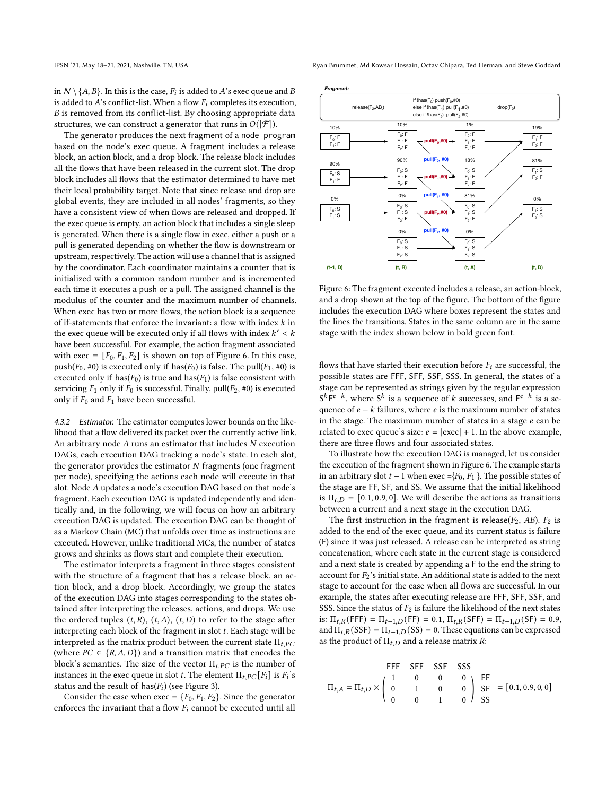in  $\mathcal{N} \setminus \{A, B\}$ . In this is the case,  $F_i$  is added to  $A$ 's exec queue and  $B$ is added to  $A$ 's conflict-list. When a flow  $F_i$  completes its execution, B is removed from its conflict-list. By choosing appropriate data structures, we can construct a generator that runs in  $O(|\mathcal{F}|)$ .

The generator produces the next fragment of a node program based on the node's exec queue. A fragment includes a release block, an action block, and a drop block. The release block includes all the flows that have been released in the current slot. The drop block includes all flows that the estimator determined to have met their local probability target. Note that since release and drop are global events, they are included in all nodes' fragments, so they have a consistent view of when flows are released and dropped. If the exec queue is empty, an action block that includes a single sleep is generated. When there is a single flow in exec, either a push or a pull is generated depending on whether the flow is downstream or upstream, respectively. The action will use a channel that is assigned by the coordinator. Each coordinator maintains a counter that is initialized with a common random number and is incremented each time it executes a push or a pull. The assigned channel is the modulus of the counter and the maximum number of channels. When exec has two or more flows, the action block is a sequence of if-statements that enforce the invariant: a flow with index  $k$  in the exec queue will be executed only if all flows with index  $k' < k$ have been successful. For example, the action fragment associated with exec =  $[F_0, F_1, F_2]$  is shown on top of Figure [6.](#page-7-1) In this case, push( $F_0$ , #0) is executed only if has( $F_0$ ) is false. The pull( $F_1$ , #0) is executed only if has( $F_0$ ) is true and has( $F_1$ ) is false consistent with servicing  $F_1$  only if  $F_0$  is successful. Finally, pull( $F_2$ , #0) is executed only if  $F_0$  and  $F_1$  have been successful.

<span id="page-7-0"></span>4.3.2 Estimator. The estimator computes lower bounds on the likelihood that a flow delivered its packet over the currently active link. An arbitrary node  $A$  runs an estimator that includes  $N$  execution DAGs, each execution DAG tracking a node's state. In each slot, the generator provides the estimator  $N$  fragments (one fragment per node), specifying the actions each node will execute in that slot. Node A updates a node's execution DAG based on that node's fragment. Each execution DAG is updated independently and identically and, in the following, we will focus on how an arbitrary execution DAG is updated. The execution DAG can be thought of as a Markov Chain (MC) that unfolds over time as instructions are executed. However, unlike traditional MCs, the number of states grows and shrinks as flows start and complete their execution.

The estimator interprets a fragment in three stages consistent with the structure of a fragment that has a release block, an action block, and a drop block. Accordingly, we group the states of the execution DAG into stages corresponding to the states obtained after interpreting the releases, actions, and drops. We use the ordered tuples  $(t, R)$ ,  $(t, A)$ ,  $(t, D)$  to refer to the stage after interpreting each block of the fragment in slot  $t$ . Each stage will be interpreted as the matrix product between the current state  $\Pi_{t,PC}$ (where  $PC \in \{R, A, D\}$ ) and a transition matrix that encodes the block's semantics. The size of the vector  $\Pi_{t,PC}$  is the number of instances in the exec queue in slot *t*. The element  $\Pi_{t,PC}[F_i]$  is  $F_i$ 's status and the result of has( $F_i$ ) (see Figure [3\)](#page-5-1).

Consider the case when exec =  ${F_0, F_1, F_2}$ . Since the generator enforces the invariant that a flow  $F_i$  cannot be executed until all

IPSN '21, May 18–21, 2021, Nashville, TN, USA Ryan Brummet, Md Kowsar Hossain, Octav Chipara, Ted Herman, and Steve Goddard

<span id="page-7-1"></span>

Figure 6: The fragment executed includes a release, an action-block, and a drop shown at the top of the figure. The bottom of the figure includes the execution DAG where boxes represent the states and the lines the transitions. States in the same column are in the same stage with the index shown below in bold green font.

flows that have started their execution before  $F_i$  are successful, the possible states are FFF, SFF, SSF, SSS. In general, the states of a stage can be represented as strings given by the regular expression  $S^k \overline{F}^{e-k}$ , where  $S^k$  is a sequence of k successes, and  $F^{e-k}$  is a sequence of  $e - k$  failures, where  $e$  is the maximum number of states in the stage. The maximum number of states in a stage  $e$  can be related to exec queue's size:  $e = |e \text{sec}| + 1$ . In the above example, there are three flows and four associated states.

To illustrate how the execution DAG is managed, let us consider the execution of the fragment shown in Figure [6.](#page-7-1) The example starts in an arbitrary slot  $t - 1$  when exec ={ $F_0$ ,  $F_1$ }. The possible states of the stage are FF, SF, and SS. We assume that the initial likelihood is  $\Pi_{t,D} = [0.1, 0.9, 0]$ . We will describe the actions as transitions between a current and a next stage in the execution DAG.

The first instruction in the fragment is release( $F_2$ , AB).  $F_2$  is added to the end of the exec queue, and its current status is failure (F) since it was just released. A release can be interpreted as string concatenation, where each state in the current stage is considered and a next state is created by appending a F to the end the string to account for  $F_2$ 's initial state. An additional state is added to the next stage to account for the case when all flows are successful. In our example, the states after executing release are FFF, SFF, SSF, and SSS. Since the status of  $F_2$  is failure the likelihood of the next states is:  $\Pi_{t,R}$ (FFF) =  $\Pi_{t-1,D}$ (FF) = 0.1,  $\Pi_{t,R}$ (SFF) =  $\Pi_{t-1,D}$ (SF) = 0.9, and  $\Pi_{t,R}(SSF) = \Pi_{t-1,D}(SS) = 0$ . These equations can be expressed as the product of  $\Pi_{t,D}$  and a release matrix  $R$ :

\n
$$
\text{FFF} \quad \text{SFF} \quad \text{SSF} \quad \text{SSS} \\
\Pi_{t,A} = \Pi_{t,D} \times \begin{pmatrix} 1 & 0 & 0 & 0 \\ 0 & 1 & 0 & 0 \\ 0 & 0 & 1 & 0 \end{pmatrix} \quad\n \begin{aligned}\n \text{FF} \\
\text{SF} \\
\text{SF} \\
\text{FS} \\
\text{FS} \\
\text{FS} \\
\text{FS} \\
\text{FS} \\
\text{FS} \\
\text{FS} \\
\text{FS} \\
\text{FS} \\
\text{FS} \\
\text{FS} \\
\text{FS} \\
\text{FS} \\
\text{FS} \\
\text{FS} \\
\text{FS} \\
\text{FS} \\
\text{FS} \\
\text{FS} \\
\text{FS} \\
\text{FS} \\
\text{FS} \\
\text{FS} \\
\text{FS} \\
\text{FS} \\
\text{FS} \\
\text{FS} \\
\text{FS} \\
\text{FS} \\
\text{FS} \\
\text{FS} \\
\text{FS} \\
\text{FS} \\
\text{FS} \\
\text{FS} \\
\text{FS} \\
\text{FS} \\
\text{FS} \\
\text{FS} \\
\text{FS} \\
\text{FS} \\
\text{FS} \\
\text{FS} \\
\text{FS} \\
\text{FS} \\
\text{FS} \\
\text{FS} \\
\text{FS} \\
\text{FS} \\
\text{FS} \\
\text{FS} \\
\text{FS} \\
\text{FS} \\
\text{FS} \\
\text{FS} \\
\text{FS} \\
\text{FS} \\
\text{FS} \\
\text{FS} \\
\text{FS} \\
\text{FS} \\
\text{FS} \\
\text{FS} \\
\text{FS} \\
\text{FS} \\
\text{FS} \\
\text{FS} \\
\text{FS} \\
\text{FS} \\
\text{FS} \\
\text{FS} \\
\text{FS} \\
\text{FS} \\
\text{FS} \\
\text{FS} \\
\text{FS} \\
\text{FS} \\
\text{FS} \\
\text{FS} \\
\text{FS} \\
\text{FS} \\
\text{FS} \\
\text{FS} \\
\text{FS} \\
\text{FS} \\
\text{FS} \\
\text{FS} \\
\text{FS} \\
\text{FS} \\
\text{FS} \\
\text{FS} \\
\text{FS} \\
\text{FS} \\
\text{FS} \\
\text{FS} \\
\text{FS} \\
\text{FS} \\
\text{FS} \\
\text{FS} \\
\text{FS} \\
\text{FS} \\
\text{FS} \\
\text{FS} \\
\text{FS}
$$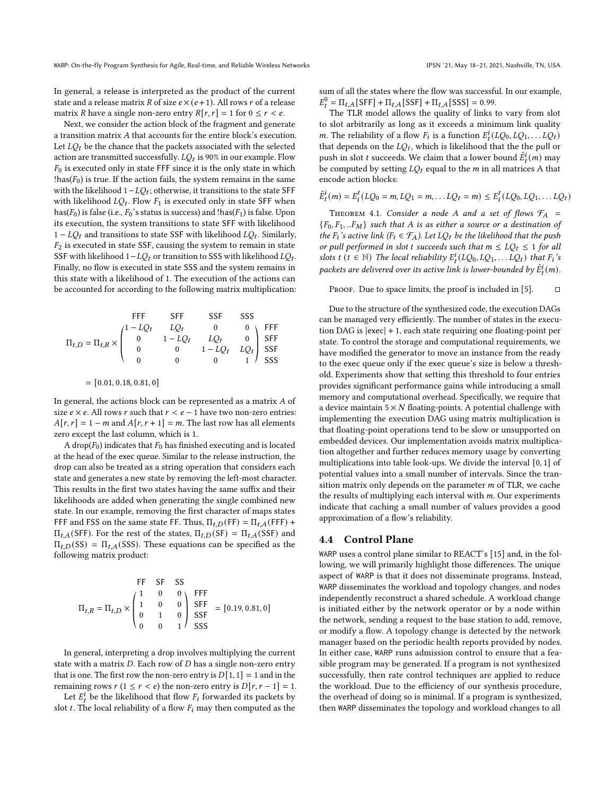In general, a release is interpreted as the product of the current state and a release matrix R of size  $e \times (e+1)$ . All rows r of a release matrix *R* have a single non-zero entry  $R[r, r] = 1$  for  $0 \le r < e$ .

Next, we consider the action block of the fragment and generate a transition matrix A that accounts for the entire block's execution. Let  $LQ_t$  be the chance that the packets associated with the selected action are transmitted successfully.  $LQ_t$  is 90% in our example. Flow  $F_0$  is executed only in state FFF since it is the only state in which !has( $F_0$ ) is true. If the action fails, the system remains in the same with the likelihood  $1 - LQ_t$ ; otherwise, it transitions to the state SFF with likelihood  $LQ_t$ . Flow  $F_1$  is executed only in state SFF when has( $F_0$ ) is false (i.e.,  $F_0$ 's status is success) and !has( $F_1$ ) is false. Upon its execution, the system transitions to state SFF with likelihood  $1 - LQ_t$  and transitions to state SSF with likelihood  $LQ_t$ . Similarly,  $F_2$  is executed in state SSF, causing the system to remain in state SSF with likelihood  $1 - LQ_t$  or transition to SSS with likelihood  $LQ_t$ . Finally, no flow is executed in state SSS and the system remains in this state with a likelihood of 1. The execution of the actions can be accounted for according to the following matrix multiplication:

\n
$$
\Pi_{t,D} = \Pi_{t,R} \times \begin{pmatrix}\n \text{FFF} & \text{SFF} & \text{SSF} & \text{SSS} \\
1 - LQ_t & LQ_t & 0 & 0 \\
0 & 1 - LQ_t & LQ_t & 0 \\
0 & 0 & 1 - LQ_t & LQ_t \\
0 & 0 & 0 & 1\n \end{pmatrix}\n \begin{matrix}\n \text{FFF} & \text{SFF} & \text{SSE} \\
\text{FFF} & 0 & 0 \\
\text{SFF} & 0 & 0 \\
0 & 0 & 0 & 1\n \end{matrix}
$$
\n

$$
= [0.01, 0.18, 0.81, 0]
$$

In general, the actions block can be represented as a matrix  $A$  of size  $e \times e$ . All rows  $r$  such that  $r < e - 1$  have two non-zero entries:  $A[r, r] = 1 - m$  and  $A[r, r + 1] = m$ . The last row has all elements zero except the last column, which is 1.

A drop( $F_0$ ) indicates that  $F_0$  has finished executing and is located at the head of the exec queue. Similar to the release instruction, the drop can also be treated as a string operation that considers each state and generates a new state by removing the left-most character. This results in the first two states having the same suffix and their likelihoods are added when generating the single combined new state. In our example, removing the first character of maps states FFF and FSS on the same state FF. Thus,  $\Pi_{t,D}(FF) = \Pi_{t,A}(FFF) +$  $\Pi_{t,A}$ (SFF). For the rest of the states,  $\Pi_{t,D}$ (SF) =  $\Pi_{t,A}$ (SSF) and  $\Pi_{t,D}$ (SS) =  $\Pi_{t,A}$ (SSS). These equations can be specified as the following matrix product:

FF SF SS  
\n
$$
\Pi_{t,R} = \Pi_{t,D} \times \begin{pmatrix} 1 & 0 & 0 \\ 1 & 0 & 0 \\ 0 & 1 & 0 \\ 0 & 0 & 1 \end{pmatrix} \begin{matrix} FFF \\ SFF \\ SSF \\ SSS \end{matrix} = [0.19, 0.81, 0]
$$

In general, interpreting a drop involves multiplying the current state with a matrix  $D$ . Each row of  $D$  has a single non-zero entry that is one. The first row the non-zero entry is  $D[1, 1] = 1$  and in the remaining rows  $r (1 \le r < e)$  the non-zero entry is  $D[r, r - 1] = 1$ .

Let  $E_t^i$  be the likelihood that flow  $F_i$  forwarded its packets by slot  $t$ . The local reliability of a flow  $F_i$  may then computed as the sum of all the states where the flow was successful. In our example,  $E_t^0 = \Pi_{t,A}[\text{SFF}] + \Pi_{t,A}[\text{SSF}] + \Pi_{t,A}[\text{SSS}] = 0.99.$ 

The TLR model allows the quality of links to vary from slot to slot arbitrarily as long as it exceeds a minimum link quality *m*. The reliability of a flow  $F_i$  is a function  $E_t^i(LQ_0, LQ_1, \ldots LQ_t)$ that depends on the  $LQ_t$ , which is likelihood that the the pull or push in slot *t* succeeds. We claim that a lower bound  $\hat{E}_t^i(m)$  may be computed by setting  $LQ_t$  equal to the *m* in all matrices A that encode action blocks:

$$
\hat{E}_t^i(m) = E_i^t(LQ_0 = m, LQ_1 = m, \dots LQ_t = m) \le E_i^t(LQ_0, LQ_1, \dots LQ_t)
$$

THEOREM 4.1. Consider a node A and a set of flows  $\mathcal{F}_A$  =  ${F_0, F_1, .. F_M}$  such that A is as either a source or a destination of the  $F_i$ 's active link ( $F_i \in \mathcal{F}_A$ ). Let  $LQ_t$  be the likelihood that the push or pull performed in slot t succeeds such that  $m \leq LQ_t \leq 1$  for all slots t  $(t \in \mathbb{N})$  The local reliability  $E_t^i(LQ_0, LQ_1, \ldots LQ_t)$  that  $F_i$ 's packets are delivered over its active link is lower-bounded by  $\hat{E}_t^i(m)$ .

PROOF. Due to space limits, the proof is included in [\[5\]](#page-12-7).  $\Box$ 

Due to the structure of the synthesized code, the execution DAGs can be managed very efficiently. The number of states in the execution DAG is |exec| + 1, each state requiring one floating-point per state. To control the storage and computational requirements, we have modified the generator to move an instance from the ready to the exec queue only if the exec queue's size is below a threshold. Experiments show that setting this threshold to four entries provides significant performance gains while introducing a small memory and computational overhead. Specifically, we require that a device maintain  $5 \times N$  floating-points. A potential challenge with implementing the execution DAG using matrix multiplication is that floating-point operations tend to be slow or unsupported on embedded devices. Our implementation avoids matrix multiplication altogether and further reduces memory usage by converting multiplications into table look-ups. We divide the interval [0, 1] of potential values into a small number of intervals. Since the transition matrix only depends on the parameter  $m$  of TLR, we cache the results of multiplying each interval with  $m$ . Our experiments indicate that caching a small number of values provides a good approximation of a flow's reliability.

### <span id="page-8-0"></span>4.4 Control Plane

WARP uses a control plane similar to REACT's [\[15\]](#page-13-6) and, in the following, we will primarily highlight those differences. The unique aspect of WARP is that it does not disseminate programs. Instead, WARP disseminates the workload and topology changes, and nodes independently reconstruct a shared schedule. A workload change is initiated either by the network operator or by a node within the network, sending a request to the base station to add, remove, or modify a flow. A topology change is detected by the network manager based on the periodic health reports provided by nodes. In either case, WARP runs admission control to ensure that a feasible program may be generated. If a program is not synthesized successfully, then rate control techniques are applied to reduce the workload. Due to the efficiency of our synthesis procedure, the overhead of doing so is minimal. If a program is synthesized, then WARP disseminates the topology and workload changes to all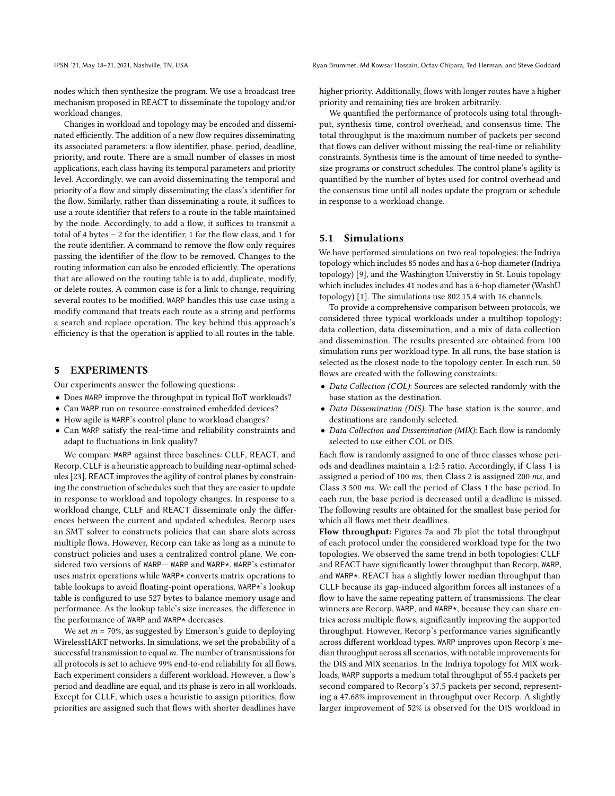nodes which then synthesize the program. We use a broadcast tree mechanism proposed in REACT to disseminate the topology and/or workload changes.

Changes in workload and topology may be encoded and disseminated efficiently. The addition of a new flow requires disseminating its associated parameters: a flow identifier, phase, period, deadline, priority, and route. There are a small number of classes in most applications, each class having its temporal parameters and priority level. Accordingly, we can avoid disseminating the temporal and priority of a flow and simply disseminating the class's identifier for the flow. Similarly, rather than disseminating a route, it suffices to use a route identifier that refers to a route in the table maintained by the node. Accordingly, to add a flow, it suffices to transmit a total of 4 bytes – 2 for the identifier, 1 for the flow class, and 1 for the route identifier. A command to remove the flow only requires passing the identifier of the flow to be removed. Changes to the routing information can also be encoded efficiently. The operations that are allowed on the routing table is to add, duplicate, modify, or delete routes. A common case is for a link to change, requiring several routes to be modified. WARP handles this use case using a modify command that treats each route as a string and performs a search and replace operation. The key behind this approach's efficiency is that the operation is applied to all routes in the table.

## 5 EXPERIMENTS

Our experiments answer the following questions:

- Does WARP improve the throughput in typical IIoT workloads?
- Can WARP run on resource-constrained embedded devices?
- How agile is WARP's control plane to workload changes?
- Can WARP satisfy the real-time and reliability constraints and adapt to fluctuations in link quality?

We compare WARP against three baselines: CLLF, REACT, and Recorp. CLLF is a heuristic approach to building near-optimal schedules [\[23\]](#page-13-10). REACT improves the agility of control planes by constraining the construction of schedules such that they are easier to update in response to workload and topology changes. In response to a workload change, CLLF and REACT disseminate only the differences between the current and updated schedules. Recorp uses an SMT solver to constructs policies that can share slots across multiple flows. However, Recorp can take as long as a minute to construct policies and uses a centralized control plane. We considered two versions of WARP— WARP and WARP\*. WARP's estimator uses matrix operations while WARP\* converts matrix operations to table lookups to avoid floating-point operations. WARP\*'s lookup table is configured to use 527 bytes to balance memory usage and performance. As the lookup table's size increases, the difference in the performance of WARP and WARP\* decreases.

We set  $m = 70\%$ , as suggested by Emerson's guide to deploying WirelessHART networks. In simulations, we set the probability of a successful transmission to equal  $m$ . The number of transmissions for all protocols is set to achieve 99% end-to-end reliability for all flows. Each experiment considers a different workload. However, a flow's period and deadline are equal, and its phase is zero in all workloads. Except for CLLF, which uses a heuristic to assign priorities, flow priorities are assigned such that flows with shorter deadlines have

higher priority. Additionally, flows with longer routes have a higher priority and remaining ties are broken arbitrarily.

We quantified the performance of protocols using total throughput, synthesis time, control overhead, and consensus time. The total throughput is the maximum number of packets per second that flows can deliver without missing the real-time or reliability constraints. Synthesis time is the amount of time needed to synthesize programs or construct schedules. The control plane's agility is quantified by the number of bytes used for control overhead and the consensus time until all nodes update the program or schedule in response to a workload change.

#### 5.1 Simulations

We have performed simulations on two real topologies: the Indriya topology which includes 85 nodes and has a 6-hop diameter (Indriya topology) [\[9\]](#page-12-8), and the Washington Universtiy in St. Louis topology which includes includes 41 nodes and has a 6-hop diameter (WashU topology) [\[1\]](#page-12-9). The simulations use 802.15.4 with 16 channels.

To provide a comprehensive comparison between protocols, we considered three typical workloads under a multihop topology: data collection, data dissemination, and a mix of data collection and dissemination. The results presented are obtained from 100 simulation runs per workload type. In all runs, the base station is selected as the closest node to the topology center. In each run, 50 flows are created with the following constraints:

- Data Collection (COL): Sources are selected randomly with the base station as the destination.
- Data Dissemination (DIS): The base station is the source, and destinations are randomly selected.
- Data Collection and Dissemination (MIX): Each flow is randomly selected to use either COL or DIS.

Each flow is randomly assigned to one of three classes whose periods and deadlines maintain a 1:2:5 ratio. Accordingly, if Class 1 is assigned a period of 100  $ms$ , then Class 2 is assigned 200  $ms$ , and Class 3 500  $ms$ . We call the period of Class 1 the base period. In each run, the base period is decreased until a deadline is missed. The following results are obtained for the smallest base period for which all flows met their deadlines.

Flow throughput: Figures [7a](#page-10-0) and [7b](#page-10-0) plot the total throughput of each protocol under the considered workload type for the two topologies. We observed the same trend in both topologies: CLLF and REACT have significantly lower throughput than Recorp, WARP, and WARP\*. REACT has a slightly lower median throughput than CLLF because its gap-induced algorithm forces all instances of a flow to have the same repeating pattern of transmissions. The clear winners are Recorp, WARP, and WARP\*, because they can share entries across multiple flows, significantly improving the supported throughput. However, Recorp's performance varies significantly across different workload types. WARP improves upon Recorp's median throughput across all scenarios, with notable improvements for the DIS and MIX scenarios. In the Indriya topology for MIX workloads, WARP supports a medium total throughput of 55.4 packets per second compared to Recorp's 37.5 packets per second, representing a 47.68% improvement in throughput over Recorp. A slightly larger improvement of 52% is observed for the DIS workload in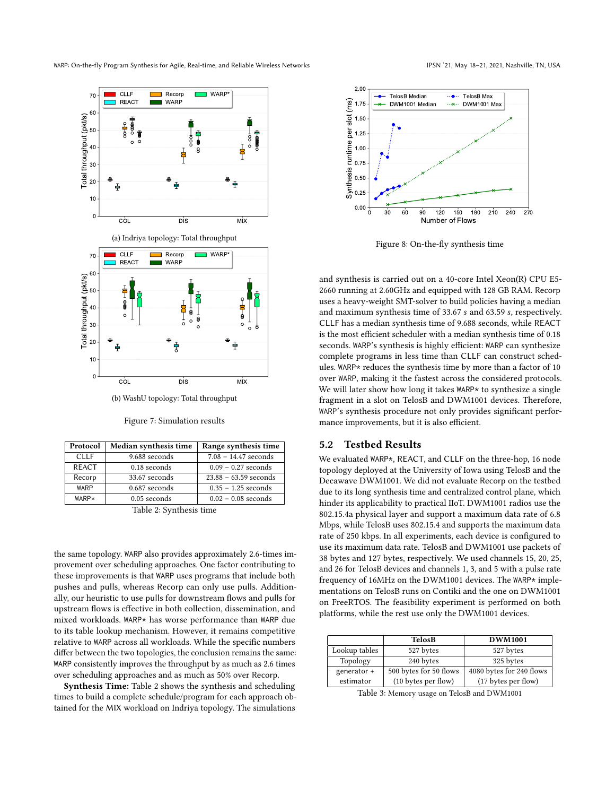<span id="page-10-0"></span>

(b) WashU topology: Total throughput

Figure 7: Simulation results

<span id="page-10-1"></span>

| Protocol     | Median synthesis time | Range synthesis time    |  |  |  |
|--------------|-----------------------|-------------------------|--|--|--|
| <b>CLLF</b>  | 9.688 seconds         | $7.08 - 14.47$ seconds  |  |  |  |
| <b>REACT</b> | 0.18 seconds          | $0.09 - 0.27$ seconds   |  |  |  |
| Recorp       | 33.67 seconds         | $23.88 - 63.59$ seconds |  |  |  |
| WARP         | 0.687 seconds         | $0.35 - 1.25$ seconds   |  |  |  |
| WARP*        | $0.05$ seconds        | $0.02 - 0.08$ seconds   |  |  |  |
| ____         |                       |                         |  |  |  |

Table 2: Synthesis time

the same topology. WARP also provides approximately 2.6-times improvement over scheduling approaches. One factor contributing to these improvements is that WARP uses programs that include both pushes and pulls, whereas Recorp can only use pulls. Additionally, our heuristic to use pulls for downstream flows and pulls for upstream flows is effective in both collection, dissemination, and mixed workloads. WARP\* has worse performance than WARP due to its table lookup mechanism. However, it remains competitive relative to WARP across all workloads. While the specific numbers differ between the two topologies, the conclusion remains the same: WARP consistently improves the throughput by as much as 2.6 times over scheduling approaches and as much as 50% over Recorp.

Synthesis Time: Table [2](#page-10-1) shows the synthesis and scheduling times to build a complete schedule/program for each approach obtained for the MIX workload on Indriya topology. The simulations

<span id="page-10-2"></span>

Figure 8: On-the-fly synthesis time

and synthesis is carried out on a 40-core Intel Xeon(R) CPU E5- 2660 running at 2.60GHz and equipped with 128 GB RAM. Recorp uses a heavy-weight SMT-solver to build policies having a median and maximum synthesis time of 33.67 s and 63.59 s, respectively. CLLF has a median synthesis time of 9.688 seconds, while REACT is the most efficient scheduler with a median synthesis time of 0.18 seconds. WARP's synthesis is highly efficient: WARP can synthesize complete programs in less time than CLLF can construct schedules. WARP\* reduces the synthesis time by more than a factor of 10 over WARP, making it the fastest across the considered protocols. We will later show how long it takes WARP\* to synthesize a single fragment in a slot on TelosB and DWM1001 devices. Therefore, WARP's synthesis procedure not only provides significant performance improvements, but it is also efficient.

#### 5.2 Testbed Results

We evaluated WARP\*, REACT, and CLLF on the three-hop, 16 node topology deployed at the University of Iowa using TelosB and the Decawave DWM1001. We did not evaluate Recorp on the testbed due to its long synthesis time and centralized control plane, which hinder its applicability to practical IIoT. DWM1001 radios use the 802.15.4a physical layer and support a maximum data rate of 6.8 Mbps, while TelosB uses 802.15.4 and supports the maximum data rate of 250 kbps. In all experiments, each device is configured to use its maximum data rate. TelosB and DWM1001 use packets of 38 bytes and 127 bytes, respectively. We used channels 15, 20, 25, and 26 for TelosB devices and channels 1, 3, and 5 with a pulse rate frequency of 16MHz on the DWM1001 devices. The WARP\* implementations on TelosB runs on Contiki and the one on DWM1001 on FreeRTOS. The feasibility experiment is performed on both platforms, while the rest use only the DWM1001 devices.

<span id="page-10-3"></span>

|               | <b>TelosB</b>          | <b>DWM1001</b>           |
|---------------|------------------------|--------------------------|
| Lookup tables | 527 bytes              | 527 bytes                |
| Topology      | 240 bytes              | 325 bytes                |
| generator +   | 500 bytes for 50 flows | 4080 bytes for 240 flows |
| estimator     | (10 bytes per flow)    | (17 bytes per flow)      |

Table 3: Memory usage on TelosB and DWM1001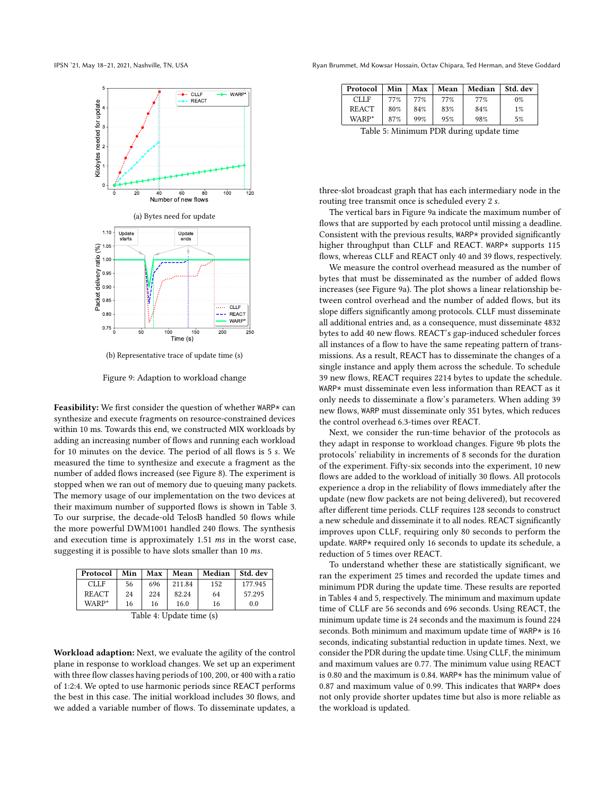

(b) Representative trace of update time (s)

Figure 9: Adaption to workload change

Feasibility: We first consider the question of whether WARP\* can synthesize and execute fragments on resource-constrained devices within 10 ms. Towards this end, we constructed MIX workloads by adding an increasing number of flows and running each workload for 10 minutes on the device. The period of all flows is 5 . We measured the time to synthesize and execute a fragment as the number of added flows increased (see Figure [8\)](#page-10-2). The experiment is stopped when we ran out of memory due to queuing many packets. The memory usage of our implementation on the two devices at their maximum number of supported flows is shown in Table [3.](#page-10-3) To our surprise, the decade-old TelosB handled 50 flows while the more powerful DWM1001 handled 240 flows. The synthesis and execution time is approximately  $1.51$  ms in the worst case, suggesting it is possible to have slots smaller than  $10$   $ms$ .

<span id="page-11-1"></span>

| Protocol          | Min | Max | Mean   | Median | Std. dev |  |  |
|-------------------|-----|-----|--------|--------|----------|--|--|
| <b>CLLF</b>       | 56  | 696 | 211.84 | 152    | 177.945  |  |  |
| <b>REACT</b>      | 24  | 224 | 82.24  | 64     | 57.295   |  |  |
| WARP*             | 16  | 16  | 16.0   | 16     | 0.0      |  |  |
| 77.11<br>1.77.1.1 |     |     |        |        |          |  |  |

Table 4: Update time (s)

Workload adaption: Next, we evaluate the agility of the control plane in response to workload changes. We set up an experiment with three flow classes having periods of 100, 200, or 400 with a ratio of 1:2:4. We opted to use harmonic periods since REACT performs the best in this case. The initial workload includes 30 flows, and we added a variable number of flows. To disseminate updates, a

<span id="page-11-0"></span>IPSN '21, May 18–21, 2021, Nashville, TN, USA Ryan Brummet, Md Kowsar Hossain, Octav Chipara, Ted Herman, and Steve Goddard

<span id="page-11-2"></span>

| Protocol           | Min | Max | Mean | Median | Std. dev |
|--------------------|-----|-----|------|--------|----------|
| <b>CLLF</b>        | 77% | 77% | 77%  | 77%    | $0\%$    |
| <b>REACT</b>       | 80% | 84% | 83%  | 84%    | $1\%$    |
| WARP*              | 87% | 99% | 95%  | 98%    | 5%       |
| _ _ _<br>____<br>. |     |     |      |        |          |

Table 5: Minimum PDR during update time

three-slot broadcast graph that has each intermediary node in the routing tree transmit once is scheduled every 2 s.

The vertical bars in Figure [9a](#page-11-0) indicate the maximum number of flows that are supported by each protocol until missing a deadline. Consistent with the previous results, WARP\* provided significantly higher throughput than CLLF and REACT. WARP\* supports 115 flows, whereas CLLF and REACT only 40 and 39 flows, respectively.

We measure the control overhead measured as the number of bytes that must be disseminated as the number of added flows increases (see Figure [9a\)](#page-11-0). The plot shows a linear relationship between control overhead and the number of added flows, but its slope differs significantly among protocols. CLLF must disseminate all additional entries and, as a consequence, must disseminate 4832 bytes to add 40 new flows. REACT's gap-induced scheduler forces all instances of a flow to have the same repeating pattern of transmissions. As a result, REACT has to disseminate the changes of a single instance and apply them across the schedule. To schedule 39 new flows, REACT requires 2214 bytes to update the schedule. WARP\* must disseminate even less information than REACT as it only needs to disseminate a flow's parameters. When adding 39 new flows, WARP must disseminate only 351 bytes, which reduces the control overhead 6.3-times over REACT.

Next, we consider the run-time behavior of the protocols as they adapt in response to workload changes. Figure [9b](#page-11-0) plots the protocols' reliability in increments of 8 seconds for the duration of the experiment. Fifty-six seconds into the experiment, 10 new flows are added to the workload of initially 30 flows. All protocols experience a drop in the reliability of flows immediately after the update (new flow packets are not being delivered), but recovered after different time periods. CLLF requires 128 seconds to construct a new schedule and disseminate it to all nodes. REACT significantly improves upon CLLF, requiring only 80 seconds to perform the update. WARP\* required only 16 seconds to update its schedule, a reduction of 5 times over REACT.

To understand whether these are statistically significant, we ran the experiment 25 times and recorded the update times and minimum PDR during the update time. These results are reported in Tables [4](#page-11-1) and [5,](#page-11-2) respectively. The minimum and maximum update time of CLLF are 56 seconds and 696 seconds. Using REACT, the minimum update time is 24 seconds and the maximum is found 224 seconds. Both minimum and maximum update time of WARP\* is 16 seconds, indicating substantial reduction in update times. Next, we consider the PDR during the update time. Using CLLF, the minimum and maximum values are 0.77. The minimum value using REACT is 0.80 and the maximum is 0.84. WARP\* has the minimum value of 0.87 and maximum value of 0.99. This indicates that WARP\* does not only provide shorter updates time but also is more reliable as the workload is updated.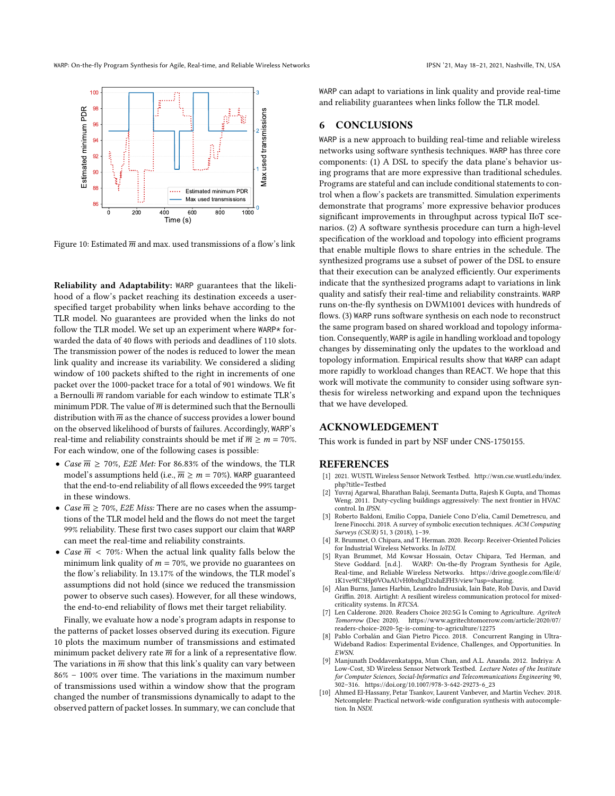<span id="page-12-10"></span>

Figure 10: Estimated  $\overline{m}$  and max. used transmissions of a flow's link

Reliability and Adaptability: WARP guarantees that the likelihood of a flow's packet reaching its destination exceeds a userspecified target probability when links behave according to the TLR model. No guarantees are provided when the links do not follow the TLR model. We set up an experiment where WARP\* forwarded the data of 40 flows with periods and deadlines of 110 slots. The transmission power of the nodes is reduced to lower the mean link quality and increase its variability. We considered a sliding window of 100 packets shifted to the right in increments of one packet over the 1000-packet trace for a total of 901 windows. We fit a Bernoulli  $\overline{m}$  random variable for each window to estimate TLR's minimum PDR. The value of  $\overline{m}$  is determined such that the Bernoulli distribution with  $\overline{m}$  as the chance of success provides a lower bound on the observed likelihood of bursts of failures. Accordingly, WARP's real-time and reliability constraints should be met if  $\overline{m} \ge m = 70\%$ . For each window, one of the following cases is possible:

- Case  $\overline{m} \ge 70\%$ , E2E Met: For 86.83% of the windows, the TLR model's assumptions held (i.e.,  $\overline{m} \ge m = 70\%$ ). WARP guaranteed that the end-to-end reliability of all flows exceeded the 99% target in these windows.
- *Case*  $\overline{m} \ge 70\%$ , *E2E Miss:* There are no cases when the assumptions of the TLR model held and the flows do not meet the target 99% reliability. These first two cases support our claim that WARP can meet the real-time and reliability constraints.
- Case  $\overline{m}$  < 70%: When the actual link quality falls below the minimum link quality of  $m = 70\%$ , we provide no guarantees on the flow's reliability. In 13.17% of the windows, the TLR model's assumptions did not hold (since we reduced the transmission power to observe such cases). However, for all these windows, the end-to-end reliability of flows met their target reliability.

Finally, we evaluate how a node's program adapts in response to the patterns of packet losses observed during its execution. Figure [10](#page-12-10) plots the maximum number of transmissions and estimated minimum packet delivery rate  $\overline{m}$  for a link of a representative flow. The variations in  $\overline{m}$  show that this link's quality can vary between 86% – 100% over time. The variations in the maximum number of transmissions used within a window show that the program changed the number of transmissions dynamically to adapt to the observed pattern of packet losses. In summary, we can conclude that

WARP can adapt to variations in link quality and provide real-time and reliability guarantees when links follow the TLR model.

### 6 CONCLUSIONS

WARP is a new approach to building real-time and reliable wireless networks using software synthesis techniques. WARP has three core components: (1) A DSL to specify the data plane's behavior using programs that are more expressive than traditional schedules. Programs are stateful and can include conditional statements to control when a flow's packets are transmitted. Simulation experiments demonstrate that programs' more expressive behavior produces significant improvements in throughput across typical IIoT scenarios. (2) A software synthesis procedure can turn a high-level specification of the workload and topology into efficient programs that enable multiple flows to share entries in the schedule. The synthesized programs use a subset of power of the DSL to ensure that their execution can be analyzed efficiently. Our experiments indicate that the synthesized programs adapt to variations in link quality and satisfy their real-time and reliability constraints. WARP runs on-the-fly synthesis on DWM1001 devices with hundreds of flows. (3) WARP runs software synthesis on each node to reconstruct the same program based on shared workload and topology information. Consequently, WARP is agile in handling workload and topology changes by disseminating only the updates to the workload and topology information. Empirical results show that WARP can adapt more rapidly to workload changes than REACT. We hope that this work will motivate the community to consider using software synthesis for wireless networking and expand upon the techniques that we have developed.

### ACKNOWLEDGEMENT

This work is funded in part by NSF under CNS-1750155.

#### REFERENCES

- <span id="page-12-9"></span>[1] 2021. WUSTL Wireless Sensor Network Testbed. [http://wsn.cse.wustl.edu/index.](http://wsn.cse.wustl.edu/index.php?title=Testbed) [php?title=Testbed](http://wsn.cse.wustl.edu/index.php?title=Testbed)
- <span id="page-12-3"></span>[2] Yuvraj Agarwal, Bharathan Balaji, Seemanta Dutta, Rajesh K Gupta, and Thomas Weng. 2011. Duty-cycling buildings aggressively: The next frontier in HVAC control. In IPSN.
- <span id="page-12-6"></span>[3] Roberto Baldoni, Emilio Coppa, Daniele Cono D'elia, Camil Demetrescu, and Irene Finocchi. 2018. A survey of symbolic execution techniques. ACM Computing Surveys (CSUR) 51, 3 (2018), 1–39.
- <span id="page-12-1"></span>[4] R. Brummet, O. Chipara, and T. Herman. 2020. Recorp: Receiver-Oriented Policies for Industrial Wireless Networks. In IoTDI.
- <span id="page-12-7"></span>[5] Ryan Brummet, Md Kowsar Hossain, Octav Chipara, Ted Herman, and Steve Goddard. [n.d.]. WARP: On-the-fly Program Synthesis for Agile, Real-time, and Reliable Wireless Networks. [https://drive.google.com/file/d/](https://drive.google.com/file/d/1K1ve9fC3Hp0VOaAUvH0bxhgD2sIuEFH3/view?usp=sharing) [1K1ve9fC3Hp0VOaAUvH0bxhgD2sIuEFH3/view?usp=sharing.](https://drive.google.com/file/d/1K1ve9fC3Hp0VOaAUvH0bxhgD2sIuEFH3/view?usp=sharing)
- <span id="page-12-4"></span>[6] Alan Burns, James Harbin, Leandro Indrusiak, Iain Bate, Rob Davis, and David Griffin. 2018. Airtight: A resilient wireless communication protocol for mixedcriticality systems. In RTCSA.
- <span id="page-12-0"></span>Len Calderone. 2020. Readers Choice 202:5G Is Coming to Agriculture. Agritech Tomorrow (Dec 2020). [https://www.agritechtomorrow.com/article/2020/07/](https://www.agritechtomorrow.com/article/2020/07/readers-choice-2020-5g-is-coming-to-agriculture/12275) [readers-choice-2020-5g-is-coming-to-agriculture/12275](https://www.agritechtomorrow.com/article/2020/07/readers-choice-2020-5g-is-coming-to-agriculture/12275)
- <span id="page-12-5"></span>Pablo Corbalán and Gian Pietro Picco. 2018. Concurrent Ranging in Ultra-Wideband Radios: Experimental Evidence, Challenges, and Opportunities. In EWSN.
- <span id="page-12-8"></span>[9] Manjunath Doddavenkatappa, Mun Chan, and A.L. Ananda. 2012. Indriya: A Low-Cost, 3D Wireless Sensor Network Testbed. Lecture Notes of the Institute for Computer Sciences, Social-Informatics and Telecommunications Engineering 90, 302–316. [https://doi.org/10.1007/978-3-642-29273-6\\_23](https://doi.org/10.1007/978-3-642-29273-6_23)
- <span id="page-12-2"></span>[10] Ahmed El-Hassany, Petar Tsankov, Laurent Vanbever, and Martin Vechev. 2018. Netcomplete: Practical network-wide configuration synthesis with autocompletion. In NSDI.